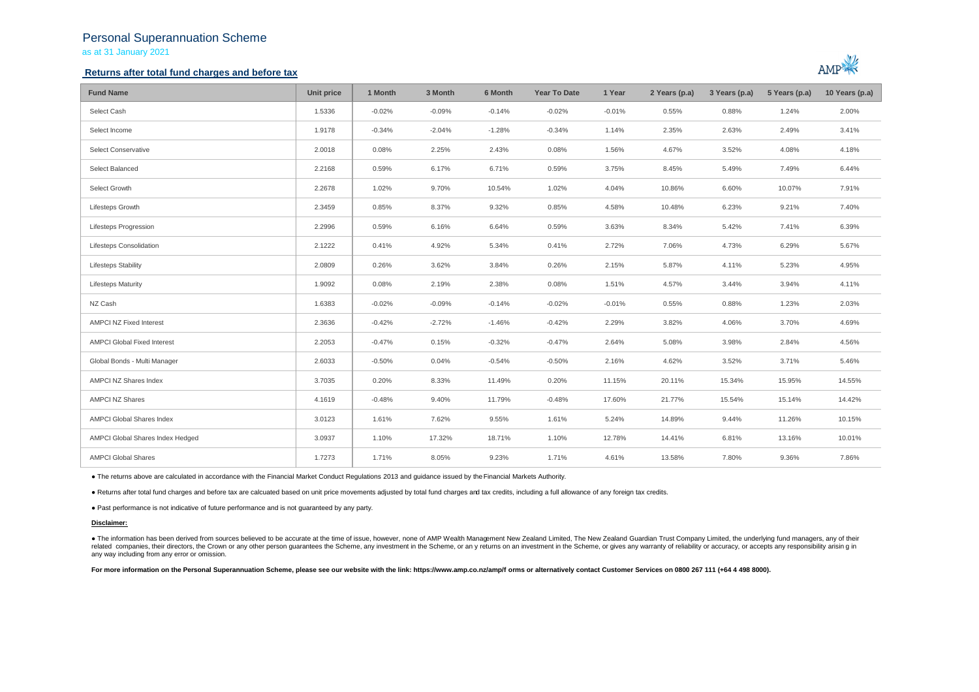# Personal Superannuation Scheme

as at 31 January 2021

## **Returns after total fund charges and before tax**



| <b>Fund Name</b>                   | Unit price | 1 Month  | 3 Month  | 6 Month  | <b>Year To Date</b> | 1 Year   | 2 Years (p.a) | 3 Years (p.a) | 5 Years (p.a) | 10 Years (p.a) |
|------------------------------------|------------|----------|----------|----------|---------------------|----------|---------------|---------------|---------------|----------------|
| Select Cash                        | 1.5336     | $-0.02%$ | $-0.09%$ | $-0.14%$ | $-0.02%$            | $-0.01%$ | 0.55%         | 0.88%         | 1.24%         | 2.00%          |
| Select Income                      | 1.9178     | $-0.34%$ | $-2.04%$ | $-1.28%$ | $-0.34%$            | 1.14%    | 2.35%         | 2.63%         | 2.49%         | 3.41%          |
| Select Conservative                | 2.0018     | 0.08%    | 2.25%    | 2.43%    | 0.08%               | 1.56%    | 4.67%         | 3.52%         | 4.08%         | 4.18%          |
| Select Balanced                    | 2.2168     | 0.59%    | 6.17%    | 6.71%    | 0.59%               | 3.75%    | 8.45%         | 5.49%         | 7.49%         | 6.44%          |
| Select Growth                      | 2.2678     | 1.02%    | 9.70%    | 10.54%   | 1.02%               | 4.04%    | 10.86%        | 6.60%         | 10.07%        | 7.91%          |
| Lifesteps Growth                   | 2.3459     | 0.85%    | 8.37%    | 9.32%    | 0.85%               | 4.58%    | 10.48%        | 6.23%         | 9.21%         | 7.40%          |
| <b>Lifesteps Progression</b>       | 2.2996     | 0.59%    | 6.16%    | 6.64%    | 0.59%               | 3.63%    | 8.34%         | 5.42%         | 7.41%         | 6.39%          |
| Lifesteps Consolidation            | 2.1222     | 0.41%    | 4.92%    | 5.34%    | 0.41%               | 2.72%    | 7.06%         | 4.73%         | 6.29%         | 5.67%          |
| <b>Lifesteps Stability</b>         | 2.0809     | 0.26%    | 3.62%    | 3.84%    | 0.26%               | 2.15%    | 5.87%         | 4.11%         | 5.23%         | 4.95%          |
| <b>Lifesteps Maturity</b>          | 1.9092     | 0.08%    | 2.19%    | 2.38%    | 0.08%               | 1.51%    | 4.57%         | 3.44%         | 3.94%         | 4.11%          |
| NZ Cash                            | 1.6383     | $-0.02%$ | $-0.09%$ | $-0.14%$ | $-0.02%$            | $-0.01%$ | 0.55%         | 0.88%         | 1.23%         | 2.03%          |
| <b>AMPCI NZ Fixed Interest</b>     | 2.3636     | $-0.42%$ | $-2.72%$ | $-1.46%$ | $-0.42%$            | 2.29%    | 3.82%         | 4.06%         | 3.70%         | 4.69%          |
| <b>AMPCI Global Fixed Interest</b> | 2.2053     | $-0.47%$ | 0.15%    | $-0.32%$ | $-0.47%$            | 2.64%    | 5.08%         | 3.98%         | 2.84%         | 4.56%          |
| Global Bonds - Multi Manager       | 2.6033     | $-0.50%$ | 0.04%    | $-0.54%$ | $-0.50%$            | 2.16%    | 4.62%         | 3.52%         | 3.71%         | 5.46%          |
| AMPCI NZ Shares Index              | 3.7035     | 0.20%    | 8.33%    | 11.49%   | 0.20%               | 11.15%   | 20.11%        | 15.34%        | 15.95%        | 14.55%         |
| <b>AMPCI NZ Shares</b>             | 4.1619     | $-0.48%$ | 9.40%    | 11.79%   | $-0.48%$            | 17.60%   | 21.77%        | 15.54%        | 15.14%        | 14.42%         |
| AMPCI Global Shares Index          | 3.0123     | 1.61%    | 7.62%    | 9.55%    | 1.61%               | 5.24%    | 14.89%        | 9.44%         | 11.26%        | 10.15%         |
| AMPCI Global Shares Index Hedged   | 3.0937     | 1.10%    | 17.32%   | 18.71%   | 1.10%               | 12.78%   | 14.41%        | 6.81%         | 13.16%        | 10.01%         |
| <b>AMPCI Global Shares</b>         | 1.7273     | 1.71%    | 8.05%    | 9.23%    | 1.71%               | 4.61%    | 13.58%        | 7.80%         | 9.36%         | 7.86%          |

● The returns above are calculated in accordance with the Financial Market Conduct Regulations 2013 and guidance issued by the Financial Markets Authority.

● Returns after total fund charges and before tax are calcuated based on unit price movements adjusted by total fund charges and tax credits, including a full allowance of any foreign tax credits.

● Past performance is not indicative of future performance and is not guaranteed by any party.

#### **Disclaimer:**

. The information has been derived from sources believed to be accurate at the time of issue, however, none of AMP Wealth Management New Zealand Limited, The New Zealand Guardian Trust Company Limited, the underlying fund related companies, their directors, the Crown or any other person quarantees the Scheme, any investment in the Scheme, or any returns on an investment in the Scheme, or qives any warranty of reliability or accuracy, or acc any way including from any error or omission.

For more information on the Personal Superannuation Scheme, please see our website with the link: https://www.amp.co.nz/amp/f orms or alternatively contact Customer Services on 0800 267 111 (+64 4 498 8000).